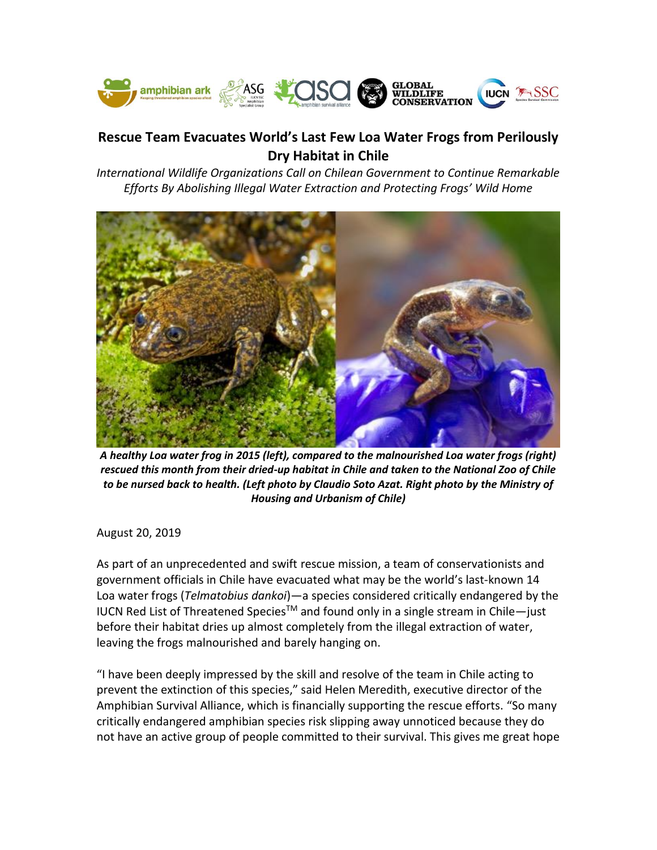

## **Rescue Team Evacuates World's Last Few Loa Water Frogs from Perilously Dry Habitat in Chile**

*International Wildlife Organizations Call on Chilean Government to Continue Remarkable Efforts By Abolishing Illegal Water Extraction and Protecting Frogs' Wild Home*



*A healthy Loa water frog in 2015 (left), compared to the malnourished Loa water frogs (right) rescued this month from their dried-up habitat in Chile and taken to the National Zoo of Chile to be nursed back to health. (Left photo by Claudio Soto Azat. Right photo by the Ministry of Housing and Urbanism of Chile)*

August 20, 2019

As part of an unprecedented and swift rescue mission, a team of conservationists and government officials in Chile have evacuated what may be the world's last-known 14 Loa water frogs (*Telmatobius dankoi*)—a species considered critically endangered by the IUCN Red List of Threatened Species™ and found only in a single stream in Chile-just before their habitat dries up almost completely from the illegal extraction of water, leaving the frogs malnourished and barely hanging on.

"I have been deeply impressed by the skill and resolve of the team in Chile acting to prevent the extinction of this species," said Helen Meredith, executive director of the Amphibian Survival Alliance, which is financially supporting the rescue efforts. "So many critically endangered amphibian species risk slipping away unnoticed because they do not have an active group of people committed to their survival. This gives me great hope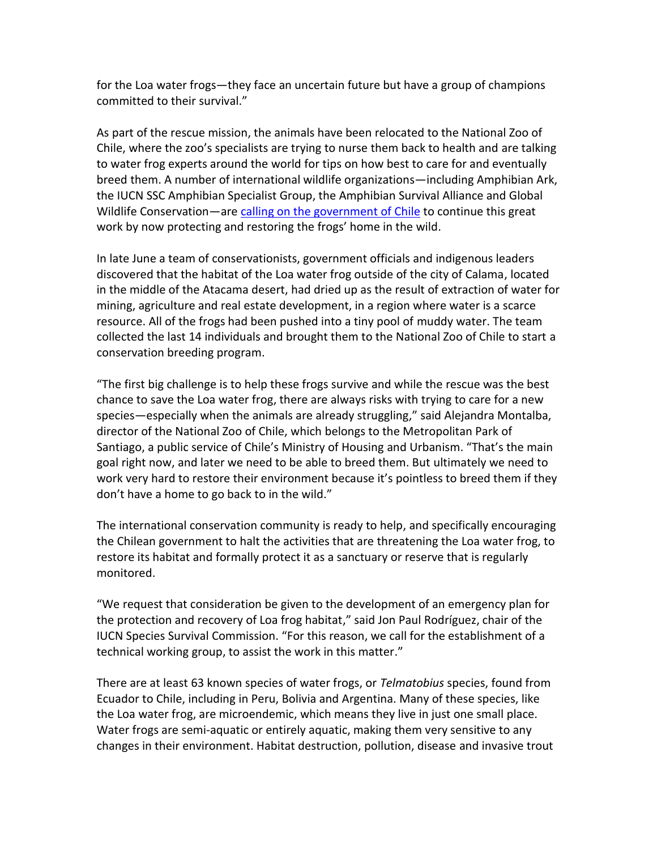for the Loa water frogs—they face an uncertain future but have a group of champions committed to their survival."

As part of the rescue mission, the animals have been relocated to the National Zoo of Chile, where the zoo's specialists are trying to nurse them back to health and are talking to water frog experts around the world for tips on how best to care for and eventually breed them. A number of international wildlife organizations—including Amphibian Ark, the IUCN SSC Amphibian Specialist Group, the Amphibian Survival Alliance and Global Wildlife Conservation—are [calling on the government of Chile](https://www.amphibians.org/wp-content/uploads/2019/08/TelmatobiusdankoiENG.pdf) to continue this great work by now protecting and restoring the frogs' home in the wild.

In late June a team of conservationists, government officials and indigenous leaders discovered that the habitat of the Loa water frog outside of the city of Calama, located in the middle of the Atacama desert, had dried up as the result of extraction of water for mining, agriculture and real estate development, in a region where water is a scarce resource. All of the frogs had been pushed into a tiny pool of muddy water. The team collected the last 14 individuals and brought them to the National Zoo of Chile to start a conservation breeding program.

"The first big challenge is to help these frogs survive and while the rescue was the best chance to save the Loa water frog, there are always risks with trying to care for a new species—especially when the animals are already struggling," said Alejandra Montalba, director of the National Zoo of Chile, which belongs to the Metropolitan Park of Santiago, a public service of Chile's Ministry of Housing and Urbanism. "That's the main goal right now, and later we need to be able to breed them. But ultimately we need to work very hard to restore their environment because it's pointless to breed them if they don't have a home to go back to in the wild."

The international conservation community is ready to help, and specifically encouraging the Chilean government to halt the activities that are threatening the Loa water frog, to restore its habitat and formally protect it as a sanctuary or reserve that is regularly monitored.

"We request that consideration be given to the development of an emergency plan for the protection and recovery of Loa frog habitat," said Jon Paul Rodríguez, chair of the IUCN Species Survival Commission. "For this reason, we call for the establishment of a technical working group, to assist the work in this matter."

There are at least 63 known species of water frogs, or *Telmatobius* species, found from Ecuador to Chile, including in Peru, Bolivia and Argentina. Many of these species, like the Loa water frog, are microendemic, which means they live in just one small place. Water frogs are semi-aquatic or entirely aquatic, making them very sensitive to any changes in their environment. Habitat destruction, pollution, disease and invasive trout